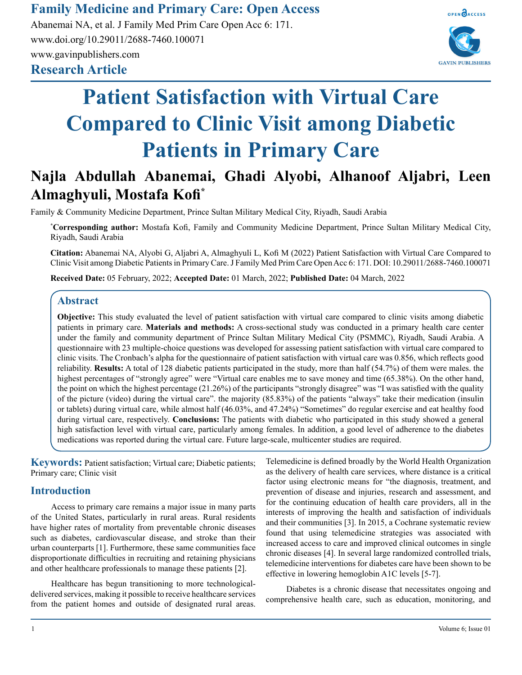### **Family Medicine and Primary Care: Open Access**

**Research Article** Abanemai NA, et al. J Family Med Prim Care Open Acc 6: 171. www.doi.org/10.29011/2688-7460.100071 www.gavinpublishers.com



# **Patient Satisfaction with Virtual Care Compared to Clinic Visit among Diabetic Patients in Primary Care**

## **Najla Abdullah Abanemai, Ghadi Alyobi, Alhanoof Aljabri, Leen Almaghyuli, Mostafa Kofi\***

Family & Community Medicine Department, Prince Sultan Military Medical City, Riyadh, Saudi Arabia

**\* Corresponding author:** Mostafa Kofi, Family and Community Medicine Department, Prince Sultan Military Medical City, Riyadh, Saudi Arabia

**Citation:** Abanemai NA, Alyobi G, Aljabri A, Almaghyuli L, Kofi M (2022) Patient Satisfaction with Virtual Care Compared to Clinic Visit among Diabetic Patients in Primary Care. J Family Med Prim Care Open Acc 6: 171. DOI: 10.29011/2688-7460.100071

**Received Date:** 05 February, 2022; **Accepted Date:** 01 March, 2022; **Published Date:** 04 March, 2022

#### **Abstract**

**Objective:** This study evaluated the level of patient satisfaction with virtual care compared to clinic visits among diabetic patients in primary care. **Materials and methods:** A cross-sectional study was conducted in a primary health care center under the family and community department of Prince Sultan Military Medical City (PSMMC), Riyadh, Saudi Arabia. A questionnaire with 23 multiple-choice questions was developed for assessing patient satisfaction with virtual care compared to clinic visits. The Cronbach's alpha for the questionnaire of patient satisfaction with virtual care was 0.856, which reflects good reliability. **Results:** A total of 128 diabetic patients participated in the study, more than half (54.7%) of them were males. the highest percentages of "strongly agree" were "Virtual care enables me to save money and time (65.38%). On the other hand, the point on which the highest percentage (21.26%) of the participants "strongly disagree" was "I was satisfied with the quality of the picture (video) during the virtual care". the majority (85.83%) of the patients "always" take their medication (insulin or tablets) during virtual care, while almost half (46.03%, and 47.24%) "Sometimes" do regular exercise and eat healthy food during virtual care, respectively. **Conclusions:** The patients with diabetic who participated in this study showed a general high satisfaction level with virtual care, particularly among females. In addition, a good level of adherence to the diabetes medications was reported during the virtual care. Future large-scale, multicenter studies are required.

**Keywords:** Patient satisfaction; Virtual care; Diabetic patients; Primary care; Clinic visit

#### **Introduction**

Access to primary care remains a major issue in many parts of the United States, particularly in rural areas. Rural residents have higher rates of mortality from preventable chronic diseases such as diabetes, cardiovascular disease, and stroke than their urban counterparts [1]. Furthermore, these same communities face disproportionate difficulties in recruiting and retaining physicians and other healthcare professionals to manage these patients [2].

Healthcare has begun transitioning to more technologicaldelivered services, making it possible to receive healthcare services from the patient homes and outside of designated rural areas.

Telemedicine is defined broadly by the World Health Organization as the delivery of health care services, where distance is a critical factor using electronic means for "the diagnosis, treatment, and prevention of disease and injuries, research and assessment, and for the continuing education of health care providers, all in the interests of improving the health and satisfaction of individuals and their communities [3]. In 2015, a Cochrane systematic review found that using telemedicine strategies was associated with increased access to care and improved clinical outcomes in single chronic diseases [4]. In several large randomized controlled trials, telemedicine interventions for diabetes care have been shown to be effective in lowering hemoglobin A1C levels [5-7].

Diabetes is a chronic disease that necessitates ongoing and comprehensive health care, such as education, monitoring, and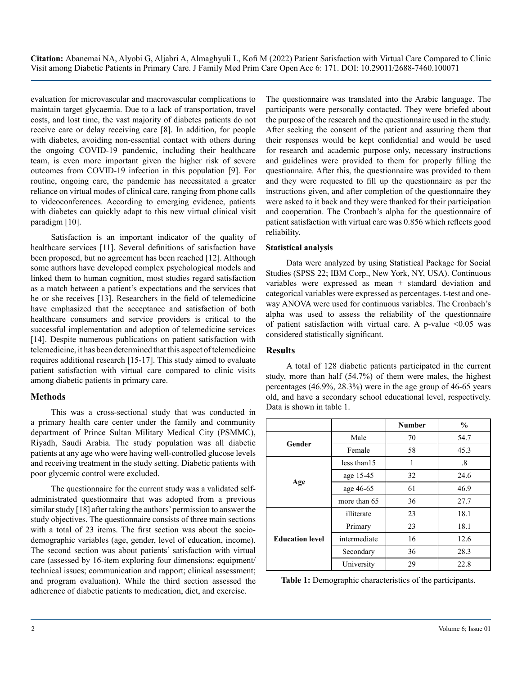evaluation for microvascular and macrovascular complications to maintain target glycaemia. Due to a lack of transportation, travel costs, and lost time, the vast majority of diabetes patients do not receive care or delay receiving care [8]. In addition, for people with diabetes, avoiding non-essential contact with others during the ongoing COVID-19 pandemic, including their healthcare team, is even more important given the higher risk of severe outcomes from COVID-19 infection in this population [9]. For routine, ongoing care, the pandemic has necessitated a greater reliance on virtual modes of clinical care, ranging from phone calls to videoconferences. According to emerging evidence, patients with diabetes can quickly adapt to this new virtual clinical visit paradigm [10].

Satisfaction is an important indicator of the quality of healthcare services [11]. Several definitions of satisfaction have been proposed, but no agreement has been reached [12]. Although some authors have developed complex psychological models and linked them to human cognition, most studies regard satisfaction as a match between a patient's expectations and the services that he or she receives [13]. Researchers in the field of telemedicine have emphasized that the acceptance and satisfaction of both healthcare consumers and service providers is critical to the successful implementation and adoption of telemedicine services [14]. Despite numerous publications on patient satisfaction with telemedicine, it has been determined that this aspect of telemedicine requires additional research [15-17]. This study aimed to evaluate patient satisfaction with virtual care compared to clinic visits among diabetic patients in primary care.

#### **Methods**

This was a cross-sectional study that was conducted in a primary health care center under the family and community department of Prince Sultan Military Medical City (PSMMC), Riyadh, Saudi Arabia. The study population was all diabetic patients at any age who were having well-controlled glucose levels and receiving treatment in the study setting. Diabetic patients with poor glycemic control were excluded.

The questionnaire for the current study was a validated selfadministrated questionnaire that was adopted from a previous similar study [18] after taking the authors' permission to answer the study objectives. The questionnaire consists of three main sections with a total of 23 items. The first section was about the sociodemographic variables (age, gender, level of education, income). The second section was about patients' satisfaction with virtual care (assessed by 16-item exploring four dimensions: equipment/ technical issues; communication and rapport; clinical assessment; and program evaluation). While the third section assessed the adherence of diabetic patients to medication, diet, and exercise.

The questionnaire was translated into the Arabic language. The participants were personally contacted. They were briefed about the purpose of the research and the questionnaire used in the study. After seeking the consent of the patient and assuring them that their responses would be kept confidential and would be used for research and academic purpose only, necessary instructions and guidelines were provided to them for properly filling the questionnaire. After this, the questionnaire was provided to them and they were requested to fill up the questionnaire as per the instructions given, and after completion of the questionnaire they were asked to it back and they were thanked for their participation and cooperation. The Cronbach's alpha for the questionnaire of patient satisfaction with virtual care was 0.856 which reflects good reliability.

#### **Statistical analysis**

Data were analyzed by using Statistical Package for Social Studies (SPSS 22; IBM Corp., New York, NY, USA). Continuous variables were expressed as mean  $\pm$  standard deviation and categorical variables were expressed as percentages. t-test and oneway ANOVA were used for continuous variables. The Cronbach's alpha was used to assess the reliability of the questionnaire of patient satisfaction with virtual care. A p-value  $\leq 0.05$  was considered statistically significant.

#### **Results**

A total of 128 diabetic patients participated in the current study, more than half (54.7%) of them were males, the highest percentages (46.9%, 28.3%) were in the age group of 46-65 years old, and have a secondary school educational level, respectively. Data is shown in table 1.

|                        |              | <b>Number</b>  | $\frac{0}{0}$     |
|------------------------|--------------|----------------|-------------------|
| Gender                 | Male         | 70             | 54.7              |
|                        | Female       | 58             | 45.3              |
|                        | less than 15 | 1              | $\boldsymbol{.8}$ |
|                        | age 15-45    | 32             | 24.6              |
| Age                    | age 46-65    | 61             | 46.9              |
|                        | more than 65 | 36             | 27.7              |
|                        | illiterate   | 23             | 18.1              |
|                        | Primary      | 23             | 18.1              |
| <b>Education level</b> | intermediate | 16<br>36<br>29 | 12.6              |
|                        | Secondary    |                | 28.3              |
|                        | University   |                | 22.8              |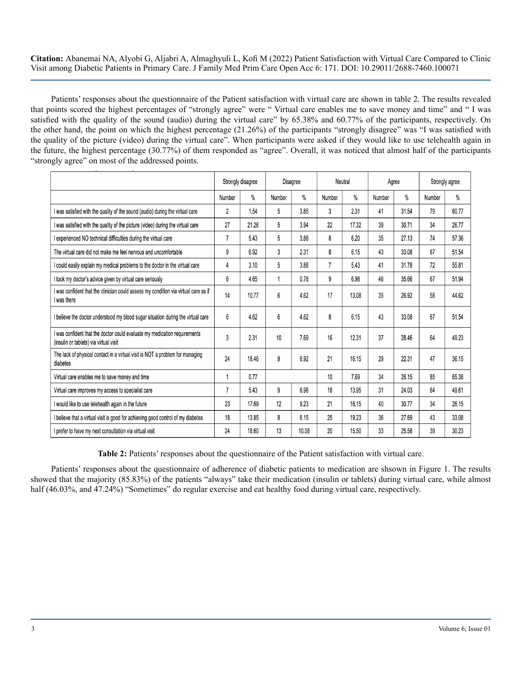Patients' responses about the questionnaire of the Patient satisfaction with virtual care are shown in table 2. The results revealed that points scored the highest percentages of "strongly agree" were " Virtual care enables me to save money and time" and " I was satisfied with the quality of the sound (audio) during the virtual care" by 65.38% and 60.77% of the participants, respectively. On the other hand, the point on which the highest percentage (21.26%) of the participants "strongly disagree" was "I was satisfied with the quality of the picture (video) during the virtual care". When participants were asked if they would like to use telehealth again in the future, the highest percentage (30.77%) of them responded as "agree". Overall, it was noticed that almost half of the participants "strongly agree" on most of the addressed points.

|                                                                                                                   | Strongly disagree |       | Disagree |       | Neutral        |       | Agree  |               |        | Strongly agree |
|-------------------------------------------------------------------------------------------------------------------|-------------------|-------|----------|-------|----------------|-------|--------|---------------|--------|----------------|
|                                                                                                                   | Number            | $\%$  | Number   | %     | Number         | $\%$  | Number | $\frac{9}{6}$ | Number | $\%$           |
| was satisfied with the quality of the sound (audio) during the virtual care                                       | $\overline{2}$    | 1.54  | 5        | 3.85  | 3              | 2.31  | 41     | 31.54         | 79     | 60.77          |
| was satisfied with the quality of the picture (video) during the virtual care                                     | 27                | 21.26 | 5        | 3.94  | 22             | 17.32 | 39     | 30.71         | 34     | 26.77          |
| experienced NO technical difficulties during the virtual care                                                     | $\overline{7}$    | 5.43  | 5        | 3.88  | 8              | 6.20  | 35     | 27.13         | 74     | 57.36          |
| The virtual care did not make me feel nervous and uncomfortable                                                   | 9                 | 6.92  | 3        | 2.31  | 8              | 6.15  | 43     | 33.08         | 67     | 51.54          |
| could easily explain my medical problems to the doctor in the virtual care                                        | 4                 | 3.10  | 5        | 3.88  | $\overline{7}$ | 5.43  | 41     | 31.78         | 72     | 55.81          |
| took my doctor's advice given by virtual care seriously                                                           | 6                 | 4.65  | 1        | 0.78  | 9              | 6.98  | 46     | 35.66         | 67     | 51.94          |
| was confident that the clinician could assess my condition via virtual care as if<br>l was there                  | 14                | 10.77 | 6        | 4.62  | 17             | 13.08 | 35     | 26.92         | 58     | 44.62          |
| believe the doctor understood my blood sugar situation during the virtual care                                    | 6                 | 4.62  | 6        | 4.62  | 8              | 6.15  | 43     | 33.08         | 67     | 51.54          |
| was confident that the doctor could evaluate my medication requirements<br>(insulin or tablets) via virtual visit | 3                 | 2.31  | 10       | 7.69  | 16             | 12.31 | 37     | 28.46         | 64     | 49.23          |
| The lack of physical contact in a virtual visit is NOT a problem for managing<br>diabetes                         | 24                | 18.46 | 9        | 6.92  | 21             | 16.15 | 29     | 22.31         | 47     | 36.15          |
| Virtual care enables me to save money and time                                                                    | 1                 | 0.77  |          |       | 10             | 7.69  | 34     | 26.15         | 85     | 65.38          |
| Virtual care improves my access to specialist care                                                                |                   | 5.43  | 9        | 6.98  | 18             | 13.95 | 31     | 24.03         | 64     | 49.61          |
| would like to use telehealth again in the future                                                                  | 23                | 17.69 | 12       | 9.23  | 21             | 16.15 | 40     | 30.77         | 34     | 26.15          |
| believe that a virtual visit is good for achieving good control of my diabetes                                    | 18                | 13.85 | 8        | 6.15  | 25             | 19.23 | 36     | 27.69         | 43     | 33.08          |
| prefer to have my next consultation via virtual visit                                                             | 24                | 18.60 | 13       | 10.08 | 20             | 15.50 | 33     | 25.58         | 39     | 30.23          |

**Table 2:** Patients' responses about the questionnaire of the Patient satisfaction with virtual care.

Patients' responses about the questionnaire of adherence of diabetic patients to medication are shsown in Figure 1. The results showed that the majority (85.83%) of the patients "always" take their medication (insulin or tablets) during virtual care, while almost half (46.03%, and 47.24%) "Sometimes" do regular exercise and eat healthy food during virtual care, respectively.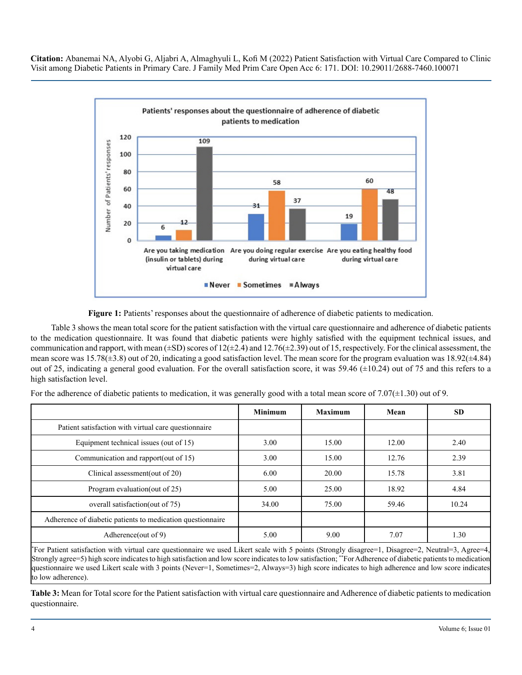

**Figure 1:** Patients' responses about the questionnaire of adherence of diabetic patients to medication.

Table 3 shows the mean total score for the patient satisfaction with the virtual care questionnaire and adherence of diabetic patients to the medication questionnaire. It was found that diabetic patients were highly satisfied with the equipment technical issues, and communication and rapport, with mean  $(\pm SD)$  scores of  $12(\pm 2.4)$  and  $12.76(\pm 2.39)$  out of 15, respectively. For the clinical assessment, the mean score was  $15.78(\pm 3.8)$  out of 20, indicating a good satisfaction level. The mean score for the program evaluation was  $18.92(\pm 4.84)$ out of 25, indicating a general good evaluation. For the overall satisfaction score, it was 59.46  $(\pm 10.24)$  out of 75 and this refers to a high satisfaction level.

For the adherence of diabetic patients to medication, it was generally good with a total mean score of 7.07( $\pm$ 1.30) out of 9.

|                                                            | <b>Minimum</b> | <b>Maximum</b> | Mean  | <b>SD</b> |
|------------------------------------------------------------|----------------|----------------|-------|-----------|
| Patient satisfaction with virtual care questionnaire       |                |                |       |           |
| Equipment technical issues (out of 15)                     | 3.00           | 15.00          | 12.00 | 2.40      |
| Communication and rapport(out of 15)                       | 3.00           | 15.00          | 12.76 | 2.39      |
| Clinical assessment (out of 20)                            | 6.00           | 20.00          | 15.78 | 3.81      |
| Program evaluation (out of 25)                             | 5.00           | 25.00          | 18.92 | 4.84      |
| overall satisfaction (out of 75)                           | 34.00          | 75.00          | 59.46 | 10.24     |
| Adherence of diabetic patients to medication questionnaire |                |                |       |           |
| Adherence(out of 9)                                        | 5.00           | 9.00           | 7.07  | 1.30      |

\* For Patient satisfaction with virtual care questionnaire we used Likert scale with 5 points (Strongly disagree=1, Disagree=2, Neutral=3, Agree=4, Strongly agree=5) high score indicates to high satisfaction and low score indicates to low satisfaction; \*\*For Adherence of diabetic patients to medication questionnaire we used Likert scale with 3 points (Never=1, Sometimes=2, Always=3) high score indicates to high adherence and low score indicates to low adherence).

**Table 3:** Mean for Total score for the Patient satisfaction with virtual care questionnaire and Adherence of diabetic patients to medication questionnaire.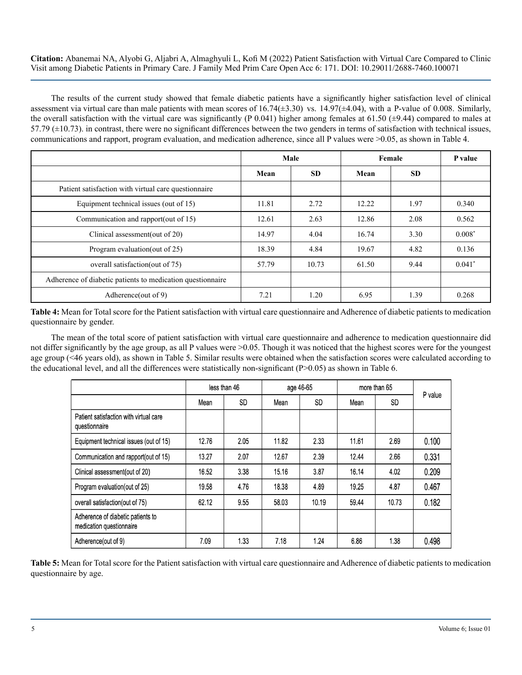The results of the current study showed that female diabetic patients have a significantly higher satisfaction level of clinical assessment via virtual care than male patients with mean scores of  $16.74(\pm 3.30)$  vs.  $14.97(\pm 4.04)$ , with a P-value of 0.008. Similarly, the overall satisfaction with the virtual care was significantly (P 0.041) higher among females at 61.50 ( $\pm$ 9.44) compared to males at 57.79  $(\pm 10.73)$ . in contrast, there were no significant differences between the two genders in terms of satisfaction with technical issues, communications and rapport, program evaluation, and medication adherence, since all P values were >0.05, as shown in Table 4.

|                                                            |       | Male  |       | Female    | P value  |
|------------------------------------------------------------|-------|-------|-------|-----------|----------|
|                                                            | Mean  | SD.   | Mean  | <b>SD</b> |          |
| Patient satisfaction with virtual care questionnaire       |       |       |       |           |          |
| Equipment technical issues (out of 15)                     | 11.81 | 2.72  | 12.22 | 1.97      | 0.340    |
| Communication and rapport(out of 15)                       | 12.61 | 2.63  | 12.86 | 2.08      | 0.562    |
| Clinical assessment (out of 20)                            | 14.97 | 4.04  | 16.74 | 3.30      | $0.008*$ |
| Program evaluation (out of 25)                             | 18.39 | 4.84  | 19.67 | 4.82      | 0.136    |
| overall satisfaction (out of 75)                           | 57.79 | 10.73 | 61.50 | 9.44      | $0.041*$ |
| Adherence of diabetic patients to medication questionnaire |       |       |       |           |          |
| Adherence(out of 9)                                        | 7.21  | 1.20  | 6.95  | 1.39      | 0.268    |

**Table 4:** Mean for Total score for the Patient satisfaction with virtual care questionnaire and Adherence of diabetic patients to medication questionnaire by gender.

The mean of the total score of patient satisfaction with virtual care questionnaire and adherence to medication questionnaire did not differ significantly by the age group, as all P values were >0.05. Though it was noticed that the highest scores were for the youngest age group (<46 years old), as shown in Table 5. Similar results were obtained when the satisfaction scores were calculated according to the educational level, and all the differences were statistically non-significant (P>0.05) as shown in Table 6.

|                                                               | less than 46 |      | age 46-65 |       | more than 65 | P value |       |  |
|---------------------------------------------------------------|--------------|------|-----------|-------|--------------|---------|-------|--|
|                                                               | Mean         | SD   | Mean      | SD    | Mean         | SD.     |       |  |
| Patient satisfaction with virtual care<br>questionnaire       |              |      |           |       |              |         |       |  |
| Equipment technical issues (out of 15)                        | 12.76        | 2.05 | 11.82     | 2.33  | 11.61        | 2.69    | 0.100 |  |
| Communication and rapport(out of 15)                          | 13.27        | 2.07 | 12.67     | 2.39  | 12.44        | 2.66    | 0.331 |  |
| Clinical assessment(out of 20)                                | 16.52        | 3.38 | 15.16     | 3.87  | 16.14        | 4.02    | 0.209 |  |
| Program evaluation (out of 25)                                | 19.58        | 4.76 | 18.38     | 4.89  | 19.25        | 4.87    | 0.467 |  |
| overall satisfaction(out of 75)                               | 62.12        | 9.55 | 58.03     | 10.19 | 59.44        | 10.73   | 0.182 |  |
| Adherence of diabetic patients to<br>medication questionnaire |              |      |           |       |              |         |       |  |
| Adherence(out of 9)                                           | 7.09         | 1.33 | 7.18      | 1.24  | 6.86         | 1.38    | 0.498 |  |

**Table 5:** Mean for Total score for the Patient satisfaction with virtual care questionnaire and Adherence of diabetic patients to medication questionnaire by age.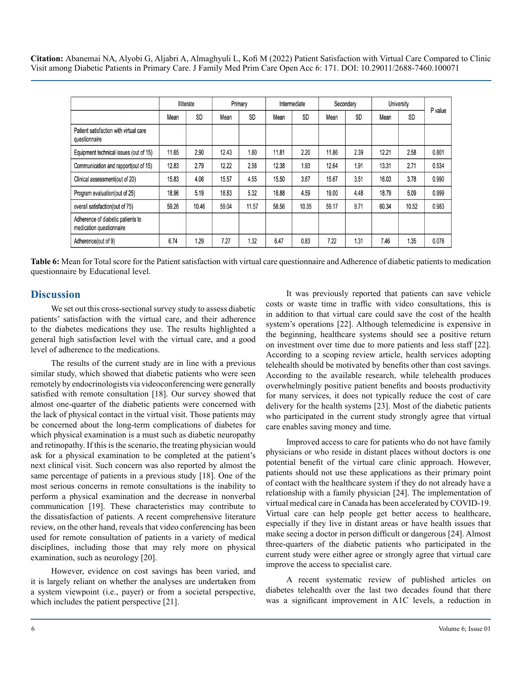|                                                               |       | Illiterate | Primary |       | Intermediate |       | Secondary |      | University |           |         |
|---------------------------------------------------------------|-------|------------|---------|-------|--------------|-------|-----------|------|------------|-----------|---------|
|                                                               | Mean  | SD         | Mean    | SD    | Mean         | SD    | Mean      | SD   | Mean       | <b>SD</b> | P value |
| Patient satisfaction with virtual care<br>questionnaire       |       |            |         |       |              |       |           |      |            |           |         |
| Equipment technical issues (out of 15)                        | 11.65 | 2.90       | 12.43   | 1.80  | 11.81        | 2.20  | 11.86     | 2.39 | 12.21      | 2.58      | 0.801   |
| Communication and rapport(out of 15)                          | 12.83 | 2.79       | 12.22   | 2.58  | 12.38        | 1.93  | 12.64     | 1.91 | 13.31      | 2.71      | 0.534   |
| Clinical assessment (out of 20)                               | 15.83 | 4.06       | 15.57   | 4.55  | 15.50        | 3.67  | 15.67     | 3.51 | 16.03      | 3.78      | 0.990   |
| Program evaluation (out of 25)                                | 18.96 | 5.19       | 18.83   | 5.32  | 18.88        | 4.59  | 19.00     | 4.48 | 18.79      | 5.09      | 0.999   |
| overall satisfaction (out of 75)                              | 59.26 | 10.46      | 59.04   | 11.57 | 58.56        | 10.35 | 59.17     | 9.71 | 60.34      | 10.52     | 0.983   |
| Adherence of diabetic patients to<br>medication questionnaire |       |            |         |       |              |       |           |      |            |           |         |
| Adherence(out of 9)                                           | 6.74  | 1.29       | 7.27    | 1.32  | 6.47         | 0.83  | 7.22      | 1.31 | 7.46       | 1.35      | 0.078   |

**Table 6:** Mean for Total score for the Patient satisfaction with virtual care questionnaire and Adherence of diabetic patients to medication questionnaire by Educational level.

#### **Discussion**

We set out this cross-sectional survey study to assess diabetic patients' satisfaction with the virtual care, and their adherence to the diabetes medications they use. The results highlighted a general high satisfaction level with the virtual care, and a good level of adherence to the medications.

The results of the current study are in line with a previous similar study, which showed that diabetic patients who were seen remotely by endocrinologists via videoconferencing were generally satisfied with remote consultation [18]. Our survey showed that almost one-quarter of the diabetic patients were concerned with the lack of physical contact in the virtual visit. Those patients may be concerned about the long-term complications of diabetes for which physical examination is a must such as diabetic neuropathy and retinopathy. If this is the scenario, the treating physician would ask for a physical examination to be completed at the patient's next clinical visit. Such concern was also reported by almost the same percentage of patients in a previous study [18]. One of the most serious concerns in remote consultations is the inability to perform a physical examination and the decrease in nonverbal communication [19]. These characteristics may contribute to the dissatisfaction of patients. A recent comprehensive literature review, on the other hand, reveals that video conferencing has been used for remote consultation of patients in a variety of medical disciplines, including those that may rely more on physical examination, such as neurology [20].

However, evidence on cost savings has been varied, and it is largely reliant on whether the analyses are undertaken from a system viewpoint (i.e., payer) or from a societal perspective, which includes the patient perspective [21].

It was previously reported that patients can save vehicle costs or waste time in traffic with video consultations, this is in addition to that virtual care could save the cost of the health system's operations [22]. Although telemedicine is expensive in the beginning, healthcare systems should see a positive return on investment over time due to more patients and less staff [22]. According to a scoping review article, health services adopting telehealth should be motivated by benefits other than cost savings. According to the available research, while telehealth produces overwhelmingly positive patient benefits and boosts productivity for many services, it does not typically reduce the cost of care delivery for the health systems [23]. Most of the diabetic patients who participated in the current study strongly agree that virtual care enables saving money and time.

Improved access to care for patients who do not have family physicians or who reside in distant places without doctors is one potential benefit of the virtual care clinic approach. However, patients should not use these applications as their primary point of contact with the healthcare system if they do not already have a relationship with a family physician [24]. The implementation of virtual medical care in Canada has been accelerated by COVID-19. Virtual care can help people get better access to healthcare, especially if they live in distant areas or have health issues that make seeing a doctor in person difficult or dangerous [24]. Almost three-quarters of the diabetic patients who participated in the current study were either agree or strongly agree that virtual care improve the access to specialist care.

A recent systematic review of published articles on diabetes telehealth over the last two decades found that there was a significant improvement in A1C levels, a reduction in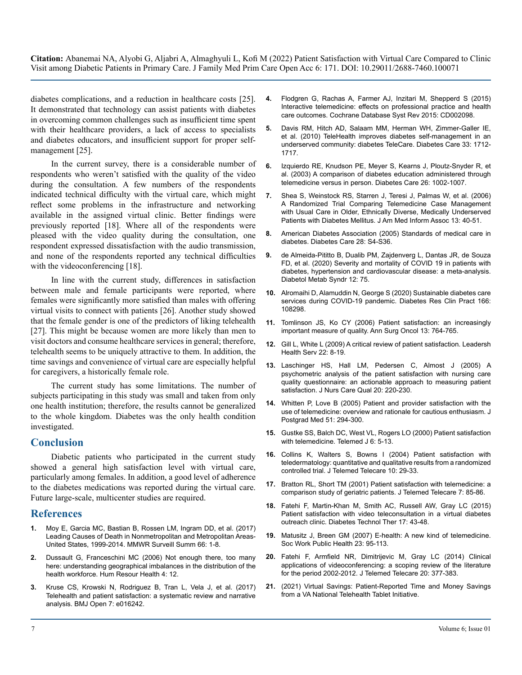diabetes complications, and a reduction in healthcare costs [25]. It demonstrated that technology can assist patients with diabetes in overcoming common challenges such as insufficient time spent with their healthcare providers, a lack of access to specialists and diabetes educators, and insufficient support for proper selfmanagement [25].

In the current survey, there is a considerable number of respondents who weren't satisfied with the quality of the video during the consultation. A few numbers of the respondents indicated technical difficulty with the virtual care, which might reflect some problems in the infrastructure and networking available in the assigned virtual clinic. Better findings were previously reported [18]. Where all of the respondents were pleased with the video quality during the consultation, one respondent expressed dissatisfaction with the audio transmission, and none of the respondents reported any technical difficulties with the videoconferencing [18].

In line with the current study, differences in satisfaction between male and female participants were reported, where females were significantly more satisfied than males with offering virtual visits to connect with patients [26]. Another study showed that the female gender is one of the predictors of liking telehealth [27]. This might be because women are more likely than men to visit doctors and consume healthcare services in general; therefore, telehealth seems to be uniquely attractive to them. In addition, the time savings and convenience of virtual care are especially helpful for caregivers, a historically female role.

The current study has some limitations. The number of subjects participating in this study was small and taken from only one health institution; therefore, the results cannot be generalized to the whole kingdom. Diabetes was the only health condition investigated.

#### **Conclusion**

Diabetic patients who participated in the current study showed a general high satisfaction level with virtual care, particularly among females. In addition, a good level of adherence to the diabetes medications was reported during the virtual care. Future large-scale, multicenter studies are required.

#### **References**

- **1.** [Moy E, Garcia MC, Bastian B, Rossen LM, Ingram DD, et al. \(2017\)](https://pubmed.ncbi.nlm.nih.gov/28081058/) [Leading Causes of Death in Nonmetropolitan and Metropolitan Areas-](https://pubmed.ncbi.nlm.nih.gov/28081058/)[United States, 1999-2014. MMWR Surveill Summ 66: 1-8.](https://pubmed.ncbi.nlm.nih.gov/28081058/)
- **2.** [Dussault G, Franceschini MC \(2006\) Not enough there, too many](https://pubmed.ncbi.nlm.nih.gov/16729892/)  [here: understanding geographical imbalances in the distribution of the](https://pubmed.ncbi.nlm.nih.gov/16729892/)  [health workforce. Hum Resour Health 4: 12.](https://pubmed.ncbi.nlm.nih.gov/16729892/)
- **3.** [Kruse CS, Krowski N, Rodriguez B, Tran L, Vela J, et al. \(2017\)](https://pubmed.ncbi.nlm.nih.gov/28775188/) [Telehealth and patient satisfaction: a systematic review and narrative](https://pubmed.ncbi.nlm.nih.gov/28775188/)  [analysis. BMJ Open 7: e016242.](https://pubmed.ncbi.nlm.nih.gov/28775188/)
- **4.** [Flodgren G, Rachas A, Farmer AJ, Inzitari M, Shepperd S \(2015\)](https://pubmed.ncbi.nlm.nih.gov/26343551/)  [Interactive telemedicine: effects on professional practice and health](https://pubmed.ncbi.nlm.nih.gov/26343551/)  [care outcomes. Cochrane Database Syst Rev 2015: CD002098.](https://pubmed.ncbi.nlm.nih.gov/26343551/)
- **5.** [Davis RM, Hitch AD, Salaam MM, Herman WH, Zimmer-Galler IE,](https://pubmed.ncbi.nlm.nih.gov/20484125/) [et al. \(2010\) TeleHealth improves diabetes self-management in an](https://pubmed.ncbi.nlm.nih.gov/20484125/)  [underserved community: diabetes TeleCare. Diabetes Care 33: 1712-](https://pubmed.ncbi.nlm.nih.gov/20484125/) [1717.](https://pubmed.ncbi.nlm.nih.gov/20484125/)
- **6.** [Izquierdo RE, Knudson PE, Meyer S, Kearns J, Ploutz-Snyder R, et](https://pubmed.ncbi.nlm.nih.gov/12663564/)  [al. \(2003\) A comparison of diabetes education administered through](https://pubmed.ncbi.nlm.nih.gov/12663564/)  [telemedicine versus in person. Diabetes Care 26: 1002-1007.](https://pubmed.ncbi.nlm.nih.gov/12663564/)
- **7.** [Shea S, Weinstock RS, Starren J, Teresi J, Palmas W, et al. \(2006\)](https://www.ncbi.nlm.nih.gov/pmc/articles/PMC1380195/)  [A Randomized Trial Comparing Telemedicine Case Management](https://www.ncbi.nlm.nih.gov/pmc/articles/PMC1380195/)  [with Usual Care in Older, Ethnically Diverse, Medically Underserved](https://www.ncbi.nlm.nih.gov/pmc/articles/PMC1380195/)  [Patients with Diabetes Mellitus. J Am Med Inform Assoc 13: 40-51.](https://www.ncbi.nlm.nih.gov/pmc/articles/PMC1380195/)
- **8.** [American Diabetes Association \(2005\) Standards of medical care in](https://pubmed.ncbi.nlm.nih.gov/15618112/)  [diabetes. Diabetes Care 28: S4-S36.](https://pubmed.ncbi.nlm.nih.gov/15618112/)
- **9.** [de Almeida-Pititto B, Dualib PM, Zajdenverg L, Dantas JR, de Souza](https://pubmed.ncbi.nlm.nih.gov/32874207/)  [FD, et al. \(2020\) Severity and mortality of COVID 19 in patients with](https://pubmed.ncbi.nlm.nih.gov/32874207/)  [diabetes, hypertension and cardiovascular disease: a meta-analysis.](https://pubmed.ncbi.nlm.nih.gov/32874207/)  [Diabetol Metab Syndr 12: 75.](https://pubmed.ncbi.nlm.nih.gov/32874207/)
- **10.** [Alromaihi D, Alamuddin N, George S \(2020\) Sustainable diabetes care](https://pubmed.ncbi.nlm.nih.gov/32623031/)  [services during COVID-19 pandemic. Diabetes Res Clin Pract 166:](https://pubmed.ncbi.nlm.nih.gov/32623031/)  [108298.](https://pubmed.ncbi.nlm.nih.gov/32623031/)
- **11.** [Tomlinson JS, Ko CY \(2006\) Patient satisfaction: an increasingly](https://pubmed.ncbi.nlm.nih.gov/16614874/)  [important measure of quality. Ann Surg Oncol 13: 764-765.](https://pubmed.ncbi.nlm.nih.gov/16614874/)
- **12.** [Gill L, White L \(2009\) A critical review of patient satisfaction. Leadersh](https://www.emerald.com/insight/content/doi/10.1108/17511870910927994/full/html?skipTracking=true)  [Health Serv 22: 8-19.](https://www.emerald.com/insight/content/doi/10.1108/17511870910927994/full/html?skipTracking=true)
- **13.** [Laschinger HS, Hall LM, Pedersen C, Almost J \(2005\) A](https://pubmed.ncbi.nlm.nih.gov/15965386/)  [psychometric analysis of the patient satisfaction with nursing care](https://pubmed.ncbi.nlm.nih.gov/15965386/)  [quality questionnaire: an actionable approach to measuring patient](https://pubmed.ncbi.nlm.nih.gov/15965386/)  [satisfaction. J Nurs Care Qual 20: 220-230.](https://pubmed.ncbi.nlm.nih.gov/15965386/)
- **14.** [Whitten P, Love B \(2005\) Patient and provider satisfaction with the](https://pubmed.ncbi.nlm.nih.gov/16388172/)  [use of telemedicine: overview and rationale for cautious enthusiasm. J](https://pubmed.ncbi.nlm.nih.gov/16388172/)  [Postgrad Med 51: 294-300.](https://pubmed.ncbi.nlm.nih.gov/16388172/)
- **15.** [Gustke SS, Balch DC, West VL, Rogers LO \(2000\) Patient satisfaction](https://www.liebertpub.com/doi/abs/10.1089/107830200311806)  [with telemedicine. Telemed J 6: 5-13.](https://www.liebertpub.com/doi/abs/10.1089/107830200311806)
- **16.** [Collins K, Walters S, Bowns I \(2004\) Patient satisfaction with](https://pubmed.ncbi.nlm.nih.gov/15006213/)  [teledermatology: quantitative and qualitative results from a randomized](https://pubmed.ncbi.nlm.nih.gov/15006213/)  [controlled trial. J Telemed Telecare 10: 29-33.](https://pubmed.ncbi.nlm.nih.gov/15006213/)
- **17.** [Bratton RL, Short TM \(2001\) Patient satisfaction with telemedicine: a](https://pubmed.ncbi.nlm.nih.gov/11747671/) [comparison study of geriatric patients. J Telemed Telecare 7: 85-86.](https://pubmed.ncbi.nlm.nih.gov/11747671/)
- **18.** [Fatehi F, Martin-Khan M, Smith AC, Russell AW, Gray LC \(2015\)](https://pubmed.ncbi.nlm.nih.gov/25296189/)  [Patient satisfaction with video teleconsultation in a virtual diabetes](https://pubmed.ncbi.nlm.nih.gov/25296189/)  [outreach clinic. Diabetes Technol Ther 17: 43-48.](https://pubmed.ncbi.nlm.nih.gov/25296189/)
- **19.** [Matusitz J, Breen GM \(2007\) E-health: A new kind of telemedicine.](https://www.tandfonline.com/doi/abs/10.1300/J523v23n01_06)  [Soc Work Public Health 23: 95-113.](https://www.tandfonline.com/doi/abs/10.1300/J523v23n01_06)
- **20.** [Fatehi F, Armfield NR, Dimitrijevic M, Gray LC \(2014\) Clinical](https://pubmed.ncbi.nlm.nih.gov/25399998/)  [applications of videoconferencing: a scoping review of the literature](https://pubmed.ncbi.nlm.nih.gov/25399998/)  [for the period 2002-2012. J Telemed Telecare 20: 377-383.](https://pubmed.ncbi.nlm.nih.gov/25399998/)
- **21.** [\(2021\) Virtual Savings: Patient-Reported Time and Money Savings](https://www.liebertpub.com/doi/epdf/10.1089/tmj.2019.0179)  [from a VA National Telehealth Tablet Initiative.](https://www.liebertpub.com/doi/epdf/10.1089/tmj.2019.0179)